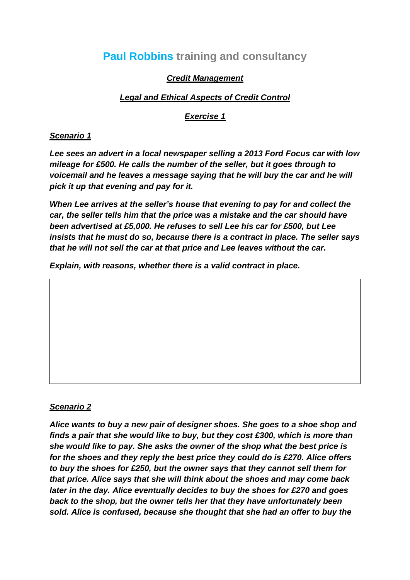# **Paul Robbins training and consultancy**

## *Credit Management*

## *Legal and Ethical Aspects of Credit Control*

#### *Exercise 1*

#### *Scenario 1*

*Lee sees an advert in a local newspaper selling a 2013 Ford Focus car with low mileage for £500. He calls the number of the seller, but it goes through to voicemail and he leaves a message saying that he will buy the car and he will pick it up that evening and pay for it.*

*When Lee arrives at the seller's house that evening to pay for and collect the car, the seller tells him that the price was a mistake and the car should have been advertised at £5,000. He refuses to sell Lee his car for £500, but Lee insists that he must do so, because there is a contract in place. The seller says that he will not sell the car at that price and Lee leaves without the car.*

*Explain, with reasons, whether there is a valid contract in place.*

#### *Scenario 2*

*Alice wants to buy a new pair of designer shoes. She goes to a shoe shop and finds a pair that she would like to buy, but they cost £300, which is more than she would like to pay. She asks the owner of the shop what the best price is for the shoes and they reply the best price they could do is £270. Alice offers to buy the shoes for £250, but the owner says that they cannot sell them for that price. Alice says that she will think about the shoes and may come back later in the day. Alice eventually decides to buy the shoes for £270 and goes back to the shop, but the owner tells her that they have unfortunately been sold. Alice is confused, because she thought that she had an offer to buy the*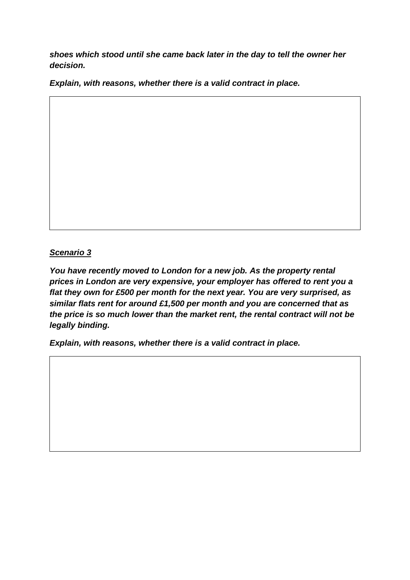*shoes which stood until she came back later in the day to tell the owner her decision.*

*Explain, with reasons, whether there is a valid contract in place.*

## *Scenario 3*

*You have recently moved to London for a new job. As the property rental prices in London are very expensive, your employer has offered to rent you a flat they own for £500 per month for the next year. You are very surprised, as similar flats rent for around £1,500 per month and you are concerned that as the price is so much lower than the market rent, the rental contract will not be legally binding.*

*Explain, with reasons, whether there is a valid contract in place.*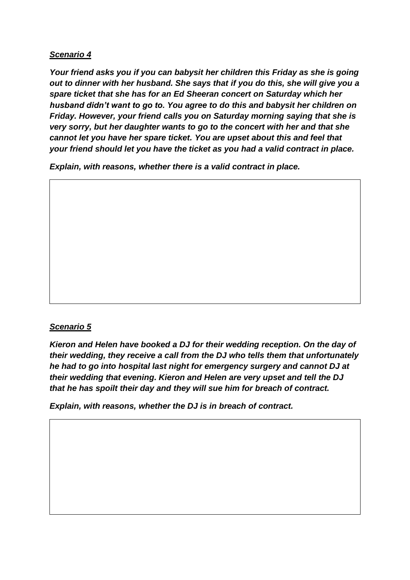## *Scenario 4*

*Your friend asks you if you can babysit her children this Friday as she is going out to dinner with her husband. She says that if you do this, she will give you a spare ticket that she has for an Ed Sheeran concert on Saturday which her husband didn't want to go to. You agree to do this and babysit her children on Friday. However, your friend calls you on Saturday morning saying that she is very sorry, but her daughter wants to go to the concert with her and that she cannot let you have her spare ticket. You are upset about this and feel that your friend should let you have the ticket as you had a valid contract in place.*

*Explain, with reasons, whether there is a valid contract in place.*

#### *Scenario 5*

*Kieron and Helen have booked a DJ for their wedding reception. On the day of their wedding, they receive a call from the DJ who tells them that unfortunately he had to go into hospital last night for emergency surgery and cannot DJ at their wedding that evening. Kieron and Helen are very upset and tell the DJ that he has spoilt their day and they will sue him for breach of contract.*

*Explain, with reasons, whether the DJ is in breach of contract.*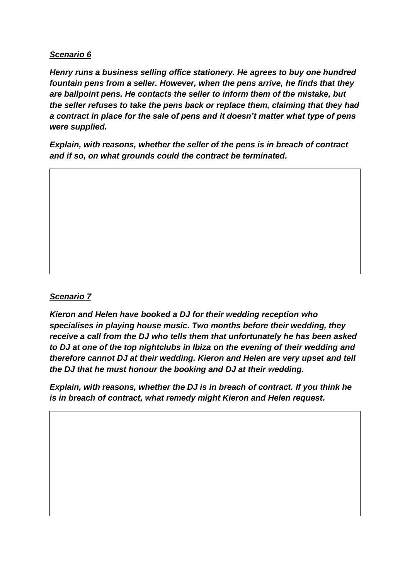#### *Scenario 6*

*Henry runs a business selling office stationery. He agrees to buy one hundred fountain pens from a seller. However, when the pens arrive, he finds that they are ballpoint pens. He contacts the seller to inform them of the mistake, but the seller refuses to take the pens back or replace them, claiming that they had a contract in place for the sale of pens and it doesn't matter what type of pens were supplied.*

*Explain, with reasons, whether the seller of the pens is in breach of contract and if so, on what grounds could the contract be terminated.*

# *Scenario 7*

*Kieron and Helen have booked a DJ for their wedding reception who specialises in playing house music. Two months before their wedding, they receive a call from the DJ who tells them that unfortunately he has been asked to DJ at one of the top nightclubs in Ibiza on the evening of their wedding and therefore cannot DJ at their wedding. Kieron and Helen are very upset and tell the DJ that he must honour the booking and DJ at their wedding.*

*Explain, with reasons, whether the DJ is in breach of contract. If you think he is in breach of contract, what remedy might Kieron and Helen request.*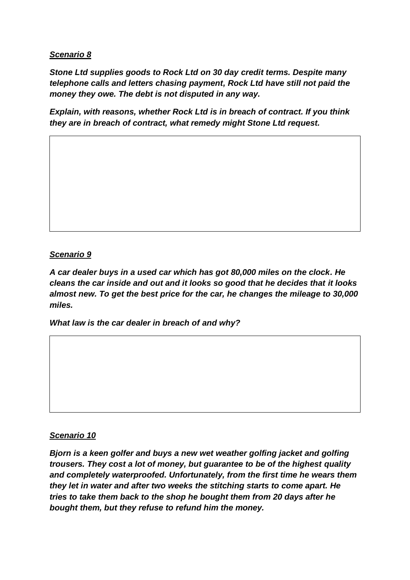#### *Scenario 8*

*Stone Ltd supplies goods to Rock Ltd on 30 day credit terms. Despite many telephone calls and letters chasing payment, Rock Ltd have still not paid the money they owe. The debt is not disputed in any way.*

*Explain, with reasons, whether Rock Ltd is in breach of contract. If you think they are in breach of contract, what remedy might Stone Ltd request.*

## *Scenario 9*

*A car dealer buys in a used car which has got 80,000 miles on the clock. He cleans the car inside and out and it looks so good that he decides that it looks almost new. To get the best price for the car, he changes the mileage to 30,000 miles.*

*What law is the car dealer in breach of and why?*

#### *Scenario 10*

*Bjorn is a keen golfer and buys a new wet weather golfing jacket and golfing trousers. They cost a lot of money, but guarantee to be of the highest quality and completely waterproofed. Unfortunately, from the first time he wears them they let in water and after two weeks the stitching starts to come apart. He tries to take them back to the shop he bought them from 20 days after he bought them, but they refuse to refund him the money.*